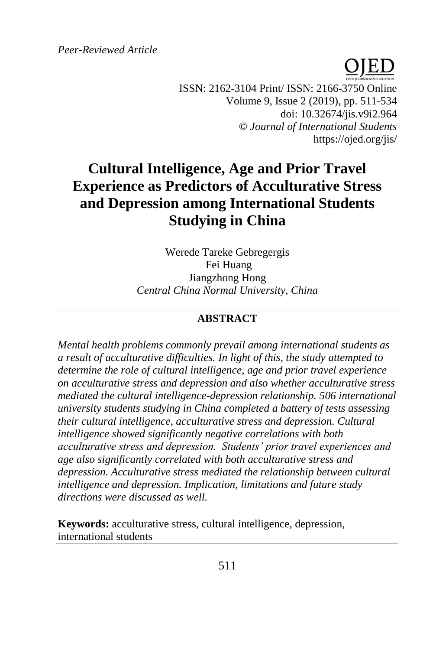*Peer-Reviewed Article*

ISSN: 2162-3104 Print/ ISSN: 2166-3750 Online Volume 9, Issue 2 (2019), pp. 511-534 doi: 10.32674/jis.v9i2.964 © *Journal of International Students* https://ojed.org/jis/

# **Cultural Intelligence, Age and Prior Travel Experience as Predictors of Acculturative Stress and Depression among International Students Studying in China**

Werede Tareke Gebregergis Fei Huang Jiangzhong Hong *Central China Normal University, China*

## **ABSTRACT**

*Mental health problems commonly prevail among international students as a result of acculturative difficulties. In light of this, the study attempted to determine the role of cultural intelligence, age and prior travel experience on acculturative stress and depression and also whether acculturative stress mediated the cultural intelligence-depression relationship. 506 international university students studying in China completed a battery of tests assessing their cultural intelligence, acculturative stress and depression. Cultural intelligence showed significantly negative correlations with both acculturative stress and depression. Students' prior travel experiences and age also significantly correlated with both acculturative stress and depression. Acculturative stress mediated the relationship between cultural intelligence and depression. Implication, limitations and future study directions were discussed as well.*

**Keywords:** acculturative stress, cultural intelligence, depression, international students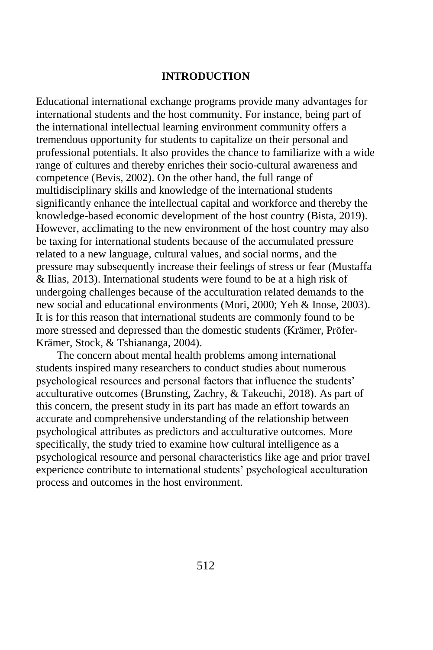## **INTRODUCTION**

Educational international exchange programs provide many advantages for international students and the host community. For instance, being part of the international intellectual learning environment community offers a tremendous opportunity for students to capitalize on their personal and professional potentials. It also provides the chance to familiarize with a wide range of cultures and thereby enriches their socio-cultural awareness and competence (Bevis, 2002). On the other hand, the full range of multidisciplinary skills and knowledge of the international students significantly enhance the intellectual capital and workforce and thereby the knowledge-based economic development of the host country (Bista, 2019). However, acclimating to the new environment of the host country may also be taxing for international students because of the accumulated pressure related to a new language, cultural values, and social norms, and the pressure may subsequently increase their feelings of stress or fear (Mustaffa & Ilias, 2013). International students were found to be at a high risk of undergoing challenges because of the acculturation related demands to the new social and educational environments (Mori, 2000; Yeh & Inose, 2003). It is for this reason that international students are commonly found to be more stressed and depressed than the domestic students (Krämer, Pröfer-Krämer, Stock, & Tshiananga, 2004).

The concern about mental health problems among international students inspired many researchers to conduct studies about numerous psychological resources and personal factors that influence the students' acculturative outcomes (Brunsting, Zachry, & Takeuchi, 2018). As part of this concern, the present study in its part has made an effort towards an accurate and comprehensive understanding of the relationship between psychological attributes as predictors and acculturative outcomes. More specifically, the study tried to examine how cultural intelligence as a psychological resource and personal characteristics like age and prior travel experience contribute to international students' psychological acculturation process and outcomes in the host environment.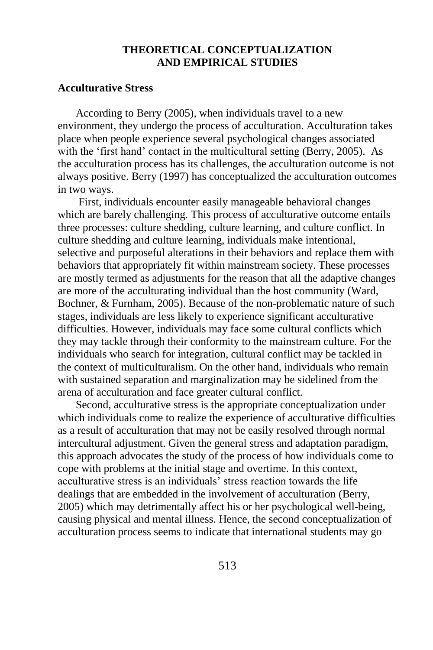## **THEORETICAL CONCEPTUALIZATION AND EMPIRICAL STUDIES**

## **Acculturative Stress**

According to Berry (2005), when individuals travel to a new environment, they undergo the process of acculturation. Acculturation takes place when people experience several psychological changes associated with the 'first hand' contact in the multicultural setting (Berry, 2005). As the acculturation process has its challenges, the acculturation outcome is not always positive. Berry (1997) has conceptualized the acculturation outcomes in two ways.

First, individuals encounter easily manageable behavioral changes which are barely challenging. This process of acculturative outcome entails three processes: culture shedding, culture learning, and culture conflict. In culture shedding and culture learning, individuals make intentional, selective and purposeful alterations in their behaviors and replace them with behaviors that appropriately fit within mainstream society. These processes are mostly termed as adjustments for the reason that all the adaptive changes are more of the acculturating individual than the host community (Ward, Bochner, & Furnham, 2005). Because of the non-problematic nature of such stages, individuals are less likely to experience significant acculturative difficulties. However, individuals may face some cultural conflicts which they may tackle through their conformity to the mainstream culture. For the individuals who search for integration, cultural conflict may be tackled in the context of multiculturalism. On the other hand, individuals who remain with sustained separation and marginalization may be sidelined from the arena of acculturation and face greater cultural conflict.

Second, acculturative stress is the appropriate conceptualization under which individuals come to realize the experience of acculturative difficulties as a result of acculturation that may not be easily resolved through normal intercultural adjustment. Given the general stress and adaptation paradigm, this approach advocates the study of the process of how individuals come to cope with problems at the initial stage and overtime. In this context, acculturative stress is an individuals' stress reaction towards the life dealings that are embedded in the involvement of acculturation (Berry, 2005) which may detrimentally affect his or her psychological well-being, causing physical and mental illness. Hence, the second conceptualization of acculturation process seems to indicate that international students may go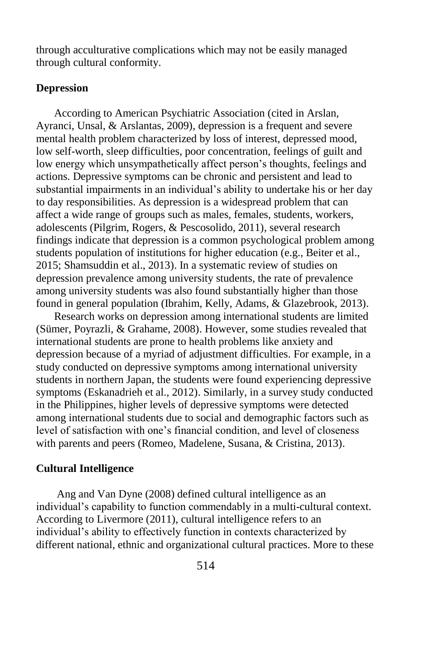through acculturative complications which may not be easily managed through cultural conformity.

## **Depression**

According to American Psychiatric Association (cited in Arslan, Ayranci, Unsal, & Arslantas, 2009), depression is a frequent and severe mental health problem characterized by loss of interest, depressed mood, low self-worth, sleep difficulties, poor concentration, feelings of guilt and low energy which unsympathetically affect person's thoughts, feelings and actions. Depressive symptoms can be chronic and persistent and lead to substantial impairments in an individual's ability to undertake his or her day to day responsibilities. As depression is a widespread problem that can affect a wide range of groups such as males, females, students, workers, adolescents (Pilgrim, Rogers, & Pescosolido, 2011), several research findings indicate that depression is a common psychological problem among students population of institutions for higher education (e.g., Beiter et al., 2015; Shamsuddin et al., 2013). In a systematic review of studies on depression prevalence among university students, the rate of prevalence among university students was also found substantially higher than those found in general population (Ibrahim, Kelly, Adams, & Glazebrook, 2013).

Research works on depression among international students are limited (Sümer, Poyrazli, & Grahame, 2008). However, some studies revealed that international students are prone to health problems like anxiety and depression because of a myriad of adjustment difficulties. For example, in a study conducted on depressive symptoms among international university students in northern Japan, the students were found experiencing depressive symptoms (Eskanadrieh et al., 2012). Similarly, in a survey study conducted in the Philippines, higher levels of depressive symptoms were detected among international students due to social and demographic factors such as level of satisfaction with one's financial condition, and level of closeness with parents and peers (Romeo, Madelene, Susana, & Cristina, 2013).

## **Cultural Intelligence**

Ang and Van Dyne (2008) defined cultural intelligence as an individual's capability to function commendably in a multi-cultural context. According to Livermore (2011), cultural intelligence refers to an individual's ability to effectively function in contexts characterized by different national, ethnic and organizational cultural practices. More to these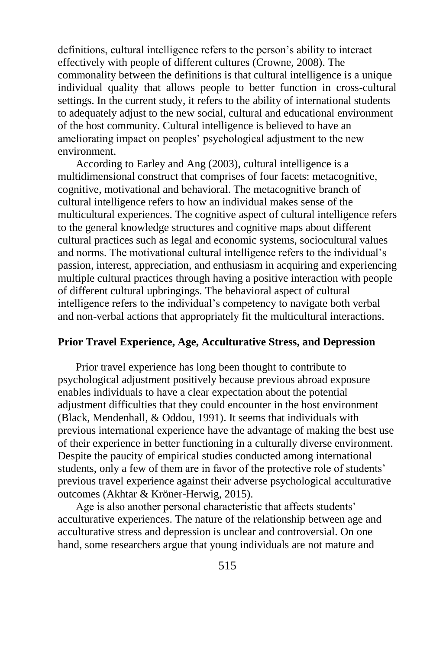definitions, cultural intelligence refers to the person's ability to interact effectively with people of different cultures (Crowne, 2008). The commonality between the definitions is that cultural intelligence is a unique individual quality that allows people to better function in cross-cultural settings. In the current study, it refers to the ability of international students to adequately adjust to the new social, cultural and educational environment of the host community. Cultural intelligence is believed to have an ameliorating impact on peoples' psychological adjustment to the new environment.

According to Earley and Ang (2003), cultural intelligence is a multidimensional construct that comprises of four facets: metacognitive, cognitive, motivational and behavioral. The metacognitive branch of cultural intelligence refers to how an individual makes sense of the multicultural experiences. The cognitive aspect of cultural intelligence refers to the general knowledge structures and cognitive maps about different cultural practices such as legal and economic systems, sociocultural values and norms. The motivational cultural intelligence refers to the individual's passion, interest, appreciation, and enthusiasm in acquiring and experiencing multiple cultural practices through having a positive interaction with people of different cultural upbringings. The behavioral aspect of cultural intelligence refers to the individual's competency to navigate both verbal and non-verbal actions that appropriately fit the multicultural interactions.

#### **Prior Travel Experience, Age, Acculturative Stress, and Depression**

Prior travel experience has long been thought to contribute to psychological adjustment positively because previous abroad exposure enables individuals to have a clear expectation about the potential adjustment difficulties that they could encounter in the host environment (Black, Mendenhall, & Oddou, 1991). It seems that individuals with previous international experience have the advantage of making the best use of their experience in better functioning in a culturally diverse environment. Despite the paucity of empirical studies conducted among international students, only a few of them are in favor of the protective role of students' previous travel experience against their adverse psychological acculturative outcomes (Akhtar & Kröner-Herwig, 2015).

Age is also another personal characteristic that affects students' acculturative experiences. The nature of the relationship between age and acculturative stress and depression is unclear and controversial. On one hand, some researchers argue that young individuals are not mature and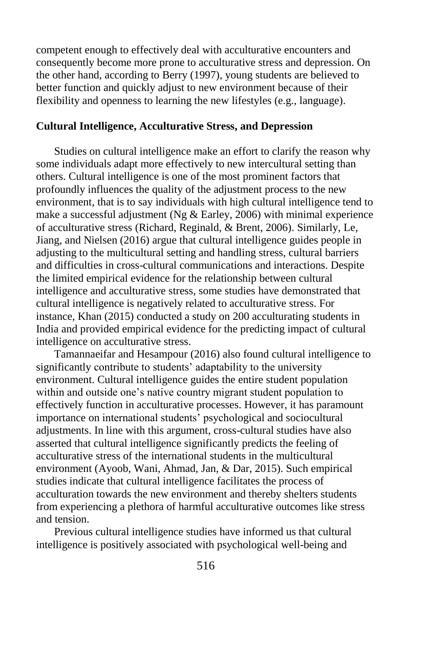competent enough to effectively deal with acculturative encounters and consequently become more prone to acculturative stress and depression. On the other hand, according to Berry (1997), young students are believed to better function and quickly adjust to new environment because of their flexibility and openness to learning the new lifestyles (e.g., language).

## **Cultural Intelligence, Acculturative Stress, and Depression**

Studies on cultural intelligence make an effort to clarify the reason why some individuals adapt more effectively to new intercultural setting than others. Cultural intelligence is one of the most prominent factors that profoundly influences the quality of the adjustment process to the new environment, that is to say individuals with high cultural intelligence tend to make a successful adjustment (Ng & Earley, 2006) with minimal experience of acculturative stress (Richard, Reginald, & Brent, 2006). Similarly, Le, Jiang, and Nielsen (2016) argue that cultural intelligence guides people in adjusting to the multicultural setting and handling stress, cultural barriers and difficulties in cross-cultural communications and interactions. Despite the limited empirical evidence for the relationship between cultural intelligence and acculturative stress, some studies have demonstrated that cultural intelligence is negatively related to acculturative stress. For instance, Khan (2015) conducted a study on 200 acculturating students in India and provided empirical evidence for the predicting impact of cultural intelligence on acculturative stress.

Tamannaeifar and Hesampour (2016) also found cultural intelligence to significantly contribute to students' adaptability to the university environment. Cultural intelligence guides the entire student population within and outside one's native country migrant student population to effectively function in acculturative processes. However, it has paramount importance on international students' psychological and sociocultural adjustments. In line with this argument, cross-cultural studies have also asserted that cultural intelligence significantly predicts the feeling of acculturative stress of the international students in the multicultural environment (Ayoob, Wani, Ahmad, Jan, & Dar, 2015). Such empirical studies indicate that cultural intelligence facilitates the process of acculturation towards the new environment and thereby shelters students from experiencing a plethora of harmful acculturative outcomes like stress and tension.

Previous cultural intelligence studies have informed us that cultural intelligence is positively associated with psychological well-being and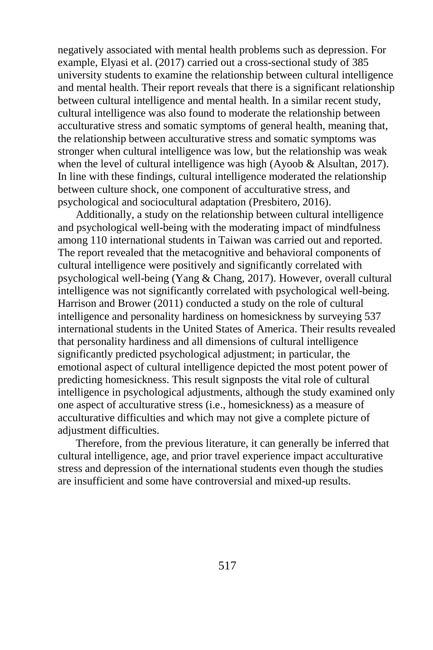negatively associated with mental health problems such as depression. For example, Elyasi et al. (2017) carried out a cross-sectional study of 385 university students to examine the relationship between cultural intelligence and mental health. Their report reveals that there is a significant relationship between cultural intelligence and mental health. In a similar recent study, cultural intelligence was also found to moderate the relationship between acculturative stress and somatic symptoms of general health, meaning that, the relationship between acculturative stress and somatic symptoms was stronger when cultural intelligence was low, but the relationship was weak when the level of cultural intelligence was high (Ayoob & Alsultan, 2017). In line with these findings, cultural intelligence moderated the relationship between culture shock, one component of acculturative stress, and psychological and sociocultural adaptation (Presbitero, 2016).

Additionally, a study on the relationship between cultural intelligence and psychological well-being with the moderating impact of mindfulness among 110 international students in Taiwan was carried out and reported. The report revealed that the metacognitive and behavioral components of cultural intelligence were positively and significantly correlated with psychological well-being (Yang & Chang, 2017). However, overall cultural intelligence was not significantly correlated with psychological well-being. Harrison and Brower (2011) conducted a study on the role of cultural intelligence and personality hardiness on homesickness by surveying 537 international students in the United States of America. Their results revealed that personality hardiness and all dimensions of cultural intelligence significantly predicted psychological adjustment; in particular, the emotional aspect of cultural intelligence depicted the most potent power of predicting homesickness. This result signposts the vital role of cultural intelligence in psychological adjustments, although the study examined only one aspect of acculturative stress (i.e., homesickness) as a measure of acculturative difficulties and which may not give a complete picture of adjustment difficulties.

Therefore, from the previous literature, it can generally be inferred that cultural intelligence, age, and prior travel experience impact acculturative stress and depression of the international students even though the studies are insufficient and some have controversial and mixed-up results.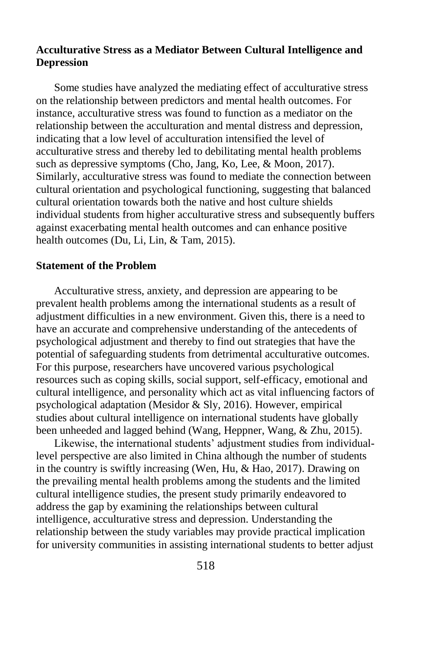# **Acculturative Stress as a Mediator Between Cultural Intelligence and Depression**

Some studies have analyzed the mediating effect of acculturative stress on the relationship between predictors and mental health outcomes. For instance, acculturative stress was found to function as a mediator on the relationship between the acculturation and mental distress and depression, indicating that a low level of acculturation intensified the level of acculturative stress and thereby led to debilitating mental health problems such as depressive symptoms (Cho, Jang, Ko, Lee, & Moon, 2017). Similarly, acculturative stress was found to mediate the connection between cultural orientation and psychological functioning, suggesting that balanced cultural orientation towards both the native and host culture shields individual students from higher acculturative stress and subsequently buffers against exacerbating mental health outcomes and can enhance positive health outcomes (Du, Li, Lin, & Tam, 2015).

#### **Statement of the Problem**

Acculturative stress, anxiety, and depression are appearing to be prevalent health problems among the international students as a result of adjustment difficulties in a new environment. Given this, there is a need to have an accurate and comprehensive understanding of the antecedents of psychological adjustment and thereby to find out strategies that have the potential of safeguarding students from detrimental acculturative outcomes. For this purpose, researchers have uncovered various psychological resources such as coping skills, social support, self-efficacy, emotional and cultural intelligence, and personality which act as vital influencing factors of psychological adaptation (Mesidor & Sly, 2016). However, empirical studies about cultural intelligence on international students have globally been unheeded and lagged behind (Wang, Heppner, Wang, & Zhu, 2015).

Likewise, the international students' adjustment studies from individuallevel perspective are also limited in China although the number of students in the country is swiftly increasing (Wen, Hu, & Hao, 2017). Drawing on the prevailing mental health problems among the students and the limited cultural intelligence studies, the present study primarily endeavored to address the gap by examining the relationships between cultural intelligence, acculturative stress and depression. Understanding the relationship between the study variables may provide practical implication for university communities in assisting international students to better adjust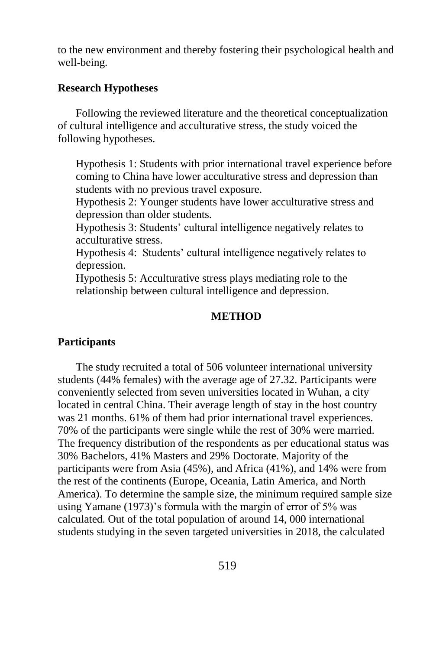to the new environment and thereby fostering their psychological health and well-being.

## **Research Hypotheses**

Following the reviewed literature and the theoretical conceptualization of cultural intelligence and acculturative stress, the study voiced the following hypotheses.

Hypothesis 1: Students with prior international travel experience before coming to China have lower acculturative stress and depression than students with no previous travel exposure.

Hypothesis 2: Younger students have lower acculturative stress and depression than older students.

Hypothesis 3: Students' cultural intelligence negatively relates to acculturative stress.

Hypothesis 4: Students' cultural intelligence negatively relates to depression.

Hypothesis 5: Acculturative stress plays mediating role to the relationship between cultural intelligence and depression.

## **METHOD**

#### **Participants**

The study recruited a total of 506 volunteer international university students (44% females) with the average age of 27.32. Participants were conveniently selected from seven universities located in Wuhan, a city located in central China. Their average length of stay in the host country was 21 months. 61% of them had prior international travel experiences. 70% of the participants were single while the rest of 30% were married. The frequency distribution of the respondents as per educational status was 30% Bachelors, 41% Masters and 29% Doctorate. Majority of the participants were from Asia (45%), and Africa (41%), and 14% were from the rest of the continents (Europe, Oceania, Latin America, and North America). To determine the sample size, the minimum required sample size using Yamane (1973)'s formula with the margin of error of 5% was calculated. Out of the total population of around 14, 000 international students studying in the seven targeted universities in 2018, the calculated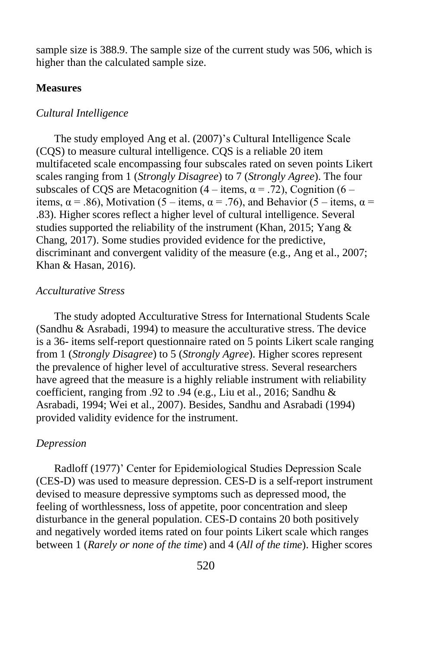sample size is 388.9. The sample size of the current study was 506, which is higher than the calculated sample size.

#### **Measures**

#### *Cultural Intelligence*

The study employed Ang et al. (2007)'s Cultural Intelligence Scale (CQS) to measure cultural intelligence. CQS is a reliable 20 item multifaceted scale encompassing four subscales rated on seven points Likert scales ranging from 1 (*Strongly Disagree*) to 7 (*Strongly Agree*). The four subscales of CQS are Metacognition (4 – items,  $\alpha$  = .72), Cognition (6 – items,  $\alpha$  = .86), Motivation (5 – items,  $\alpha$  = .76), and Behavior (5 – items,  $\alpha$  = .83). Higher scores reflect a higher level of cultural intelligence. Several studies supported the reliability of the instrument (Khan, 2015; Yang & Chang, 2017). Some studies provided evidence for the predictive, discriminant and convergent validity of the measure (e.g., Ang et al., 2007; Khan & Hasan, 2016).

#### *Acculturative Stress*

The study adopted Acculturative Stress for International Students Scale (Sandhu & Asrabadi, 1994) to measure the acculturative stress. The device is a 36- items self-report questionnaire rated on 5 points Likert scale ranging from 1 (*Strongly Disagree*) to 5 (*Strongly Agree*). Higher scores represent the prevalence of higher level of acculturative stress. Several researchers have agreed that the measure is a highly reliable instrument with reliability coefficient, ranging from .92 to .94 (e.g., Liu et al., 2016; Sandhu & Asrabadi, 1994; Wei et al., 2007). Besides, Sandhu and Asrabadi (1994) provided validity evidence for the instrument.

#### *Depression*

Radloff (1977)' Center for Epidemiological Studies Depression Scale (CES-D) was used to measure depression. CES-D is a self-report instrument devised to measure depressive symptoms such as depressed mood, the feeling of worthlessness, loss of appetite, poor concentration and sleep disturbance in the general population. CES-D contains 20 both positively and negatively worded items rated on four points Likert scale which ranges between 1 (*Rarely or none of the time*) and 4 (*All of the time*). Higher scores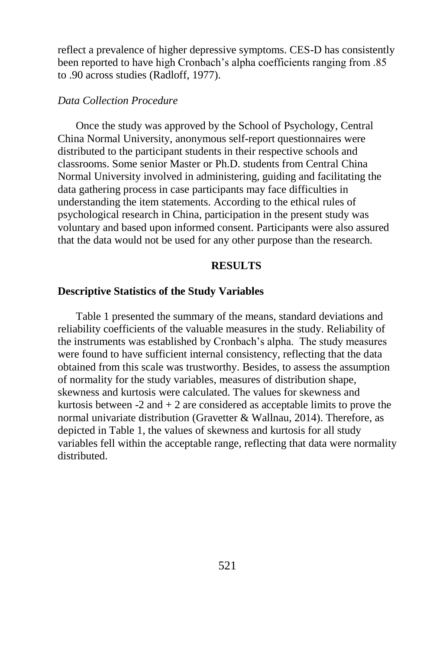reflect a prevalence of higher depressive symptoms. CES-D has consistently been reported to have high Cronbach's alpha coefficients ranging from .85 to .90 across studies (Radloff, 1977).

#### *Data Collection Procedure*

Once the study was approved by the School of Psychology, Central China Normal University, anonymous self-report questionnaires were distributed to the participant students in their respective schools and classrooms. Some senior Master or Ph.D. students from Central China Normal University involved in administering, guiding and facilitating the data gathering process in case participants may face difficulties in understanding the item statements. According to the ethical rules of psychological research in China, participation in the present study was voluntary and based upon informed consent. Participants were also assured that the data would not be used for any other purpose than the research.

#### **RESULTS**

#### **Descriptive Statistics of the Study Variables**

Table 1 presented the summary of the means, standard deviations and reliability coefficients of the valuable measures in the study. Reliability of the instruments was established by Cronbach's alpha. The study measures were found to have sufficient internal consistency, reflecting that the data obtained from this scale was trustworthy. Besides, to assess the assumption of normality for the study variables, measures of distribution shape, skewness and kurtosis were calculated. The values for skewness and kurtosis between  $-2$  and  $+2$  are considered as acceptable limits to prove the normal univariate distribution (Gravetter & Wallnau, 2014). Therefore, as depicted in Table 1, the values of skewness and kurtosis for all study variables fell within the acceptable range, reflecting that data were normality distributed.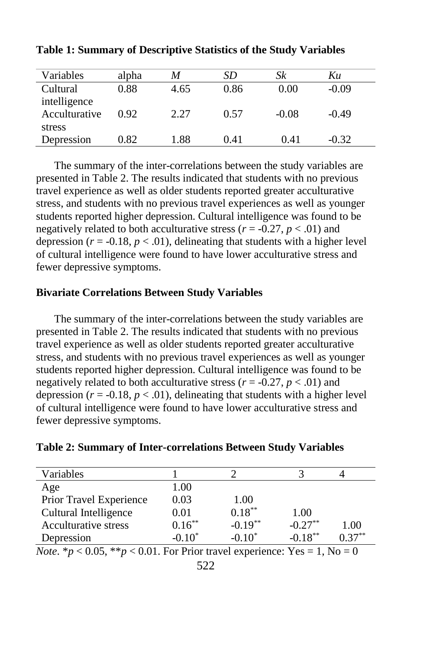| Variables     | alpha | M    | SD   | Sk      | Kи      |  |
|---------------|-------|------|------|---------|---------|--|
| Cultural      | 0.88  | 4.65 | 0.86 | 0.00    | $-0.09$ |  |
| intelligence  |       |      |      |         |         |  |
| Acculturative | 0.92  | 2.27 | 0.57 | $-0.08$ | $-0.49$ |  |
| stress        |       |      |      |         |         |  |
| Depression    | 0.82  | 1.88 | 0.41 | 0.41    | $-0.32$ |  |

**Table 1: Summary of Descriptive Statistics of the Study Variables** 

The summary of the inter-correlations between the study variables are presented in Table 2. The results indicated that students with no previous travel experience as well as older students reported greater acculturative stress, and students with no previous travel experiences as well as younger students reported higher depression. Cultural intelligence was found to be negatively related to both acculturative stress ( $r = -0.27$ ,  $p < .01$ ) and depression  $(r = -0.18, p < .01)$ , delineating that students with a higher level of cultural intelligence were found to have lower acculturative stress and fewer depressive symptoms.

## **Bivariate Correlations Between Study Variables**

The summary of the inter-correlations between the study variables are presented in Table 2. The results indicated that students with no previous travel experience as well as older students reported greater acculturative stress, and students with no previous travel experiences as well as younger students reported higher depression. Cultural intelligence was found to be negatively related to both acculturative stress ( $r = -0.27$ ,  $p < .01$ ) and depression  $(r = -0.18, p < .01)$ , delineating that students with a higher level of cultural intelligence were found to have lower acculturative stress and fewer depressive symptoms.

| Variables                   |           |            |            |          |
|-----------------------------|-----------|------------|------------|----------|
| Age                         | 1.00      |            |            |          |
| Prior Travel Experience     | 0.03      | 1.00       |            |          |
| Cultural Intelligence       | 0.01      | $0.18***$  | 1.00       |          |
| <b>Acculturative stress</b> | $0.16***$ | $-0.19***$ | $-0.27***$ | 1.00     |
| Depression                  | $-0.10^*$ | $-0.10^*$  | $-0.18***$ | $137***$ |

*Note*. \* $p < 0.05$ , \*\* $p < 0.01$ . For Prior travel experience: Yes = 1, No = 0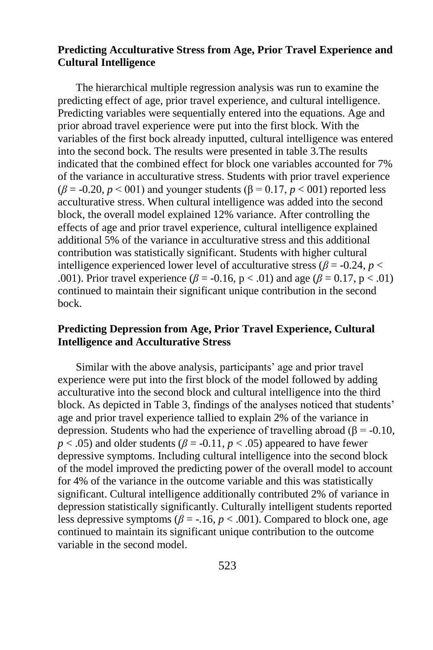# **Predicting Acculturative Stress from Age, Prior Travel Experience and Cultural Intelligence**

The hierarchical multiple regression analysis was run to examine the predicting effect of age, prior travel experience, and cultural intelligence. Predicting variables were sequentially entered into the equations. Age and prior abroad travel experience were put into the first block. With the variables of the first bock already inputted, cultural intelligence was entered into the second bock. The results were presented in table 3.The results indicated that the combined effect for block one variables accounted for 7% of the variance in acculturative stress. Students with prior travel experience  $(\beta = -0.20, p \le 0.01)$  and younger students  $(\beta = 0.17, p \le 0.01)$  reported less acculturative stress. When cultural intelligence was added into the second block, the overall model explained 12% variance. After controlling the effects of age and prior travel experience, cultural intelligence explained additional 5% of the variance in acculturative stress and this additional contribution was statistically significant. Students with higher cultural intelligence experienced lower level of acculturative stress ( $\beta$  = -0.24, *p* < .001). Prior travel experience ( $\beta$  = -0.16, p < .01) and age ( $\beta$  = 0.17, p < .01) continued to maintain their significant unique contribution in the second bock.

# **Predicting Depression from Age, Prior Travel Experience, Cultural Intelligence and Acculturative Stress**

Similar with the above analysis, participants' age and prior travel experience were put into the first block of the model followed by adding acculturative into the second block and cultural intelligence into the third block. As depicted in Table 3, findings of the analyses noticed that students' age and prior travel experience tallied to explain 2% of the variance in depression. Students who had the experience of travelling abroad ( $\beta$  = -0.10,  $p < .05$ ) and older students ( $\beta = -0.11$ ,  $p < .05$ ) appeared to have fewer depressive symptoms. Including cultural intelligence into the second block of the model improved the predicting power of the overall model to account for 4% of the variance in the outcome variable and this was statistically significant. Cultural intelligence additionally contributed 2% of variance in depression statistically significantly. Culturally intelligent students reported less depressive symptoms ( $\beta$  = -.16,  $p$  < .001). Compared to block one, age continued to maintain its significant unique contribution to the outcome variable in the second model.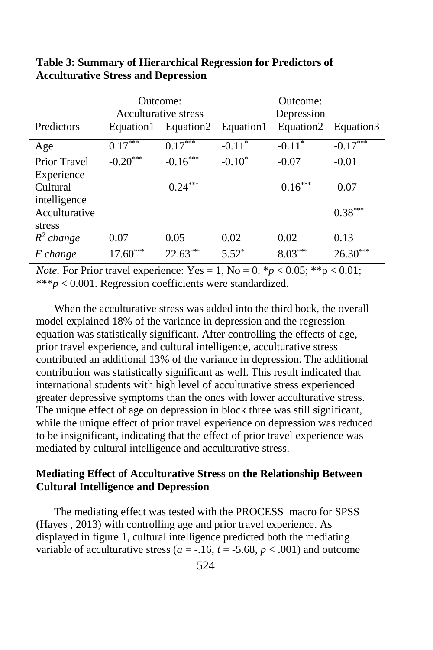|                                   | Outcome:<br>Acculturative stress |            |           | Outcome:<br>Depression |            |
|-----------------------------------|----------------------------------|------------|-----------|------------------------|------------|
| Predictors                        | Equation1                        | Equation2  | Equation1 | Equation2              | Equation3  |
| Age                               | $0.17***$                        | $0.17***$  | $-0.11*$  | $-0.11*$               | $-0.17***$ |
| <b>Prior Travel</b><br>Experience | $-0.20***$                       | $-0.16***$ | $-0.10^*$ | $-0.07$                | $-0.01$    |
| Cultural<br>intelligence          |                                  | $-0.24***$ |           | $-0.16***$             | $-0.07$    |
| Acculturative<br>stress           |                                  |            |           |                        | $0.38***$  |
| $R^2$ change                      | 0.07                             | 0.05       | 0.02      | 0.02                   | 0.13       |
| F change                          | $17.60***$                       | $22.63***$ | $5.52^*$  | $8.03***$              | $26.30***$ |

**Table 3: Summary of Hierarchical Regression for Predictors of Acculturative Stress and Depression** 

*Note.* For Prior travel experience:  $Yes = 1$ ,  $No = 0$ .  $p < 0.05$ ;  $p > 0.01$ ; \*\*\**p* < 0.001. Regression coefficients were standardized.

When the acculturative stress was added into the third bock, the overall model explained 18% of the variance in depression and the regression equation was statistically significant. After controlling the effects of age, prior travel experience, and cultural intelligence, acculturative stress contributed an additional 13% of the variance in depression. The additional contribution was statistically significant as well. This result indicated that international students with high level of acculturative stress experienced greater depressive symptoms than the ones with lower acculturative stress. The unique effect of age on depression in block three was still significant, while the unique effect of prior travel experience on depression was reduced to be insignificant, indicating that the effect of prior travel experience was mediated by cultural intelligence and acculturative stress.

## **Mediating Effect of Acculturative Stress on the Relationship Between Cultural Intelligence and Depression**

The mediating effect was tested with the PROCESS macro for SPSS (Hayes , 2013) with controlling age and prior travel experience. As displayed in figure 1, cultural intelligence predicted both the mediating variable of acculturative stress ( $a = -16$ ,  $t = -5.68$ ,  $p < .001$ ) and outcome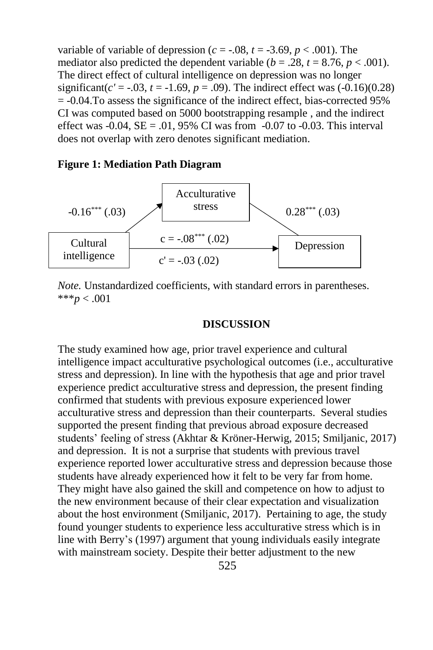variable of variable of depression ( $c = -0.08$ ,  $t = -3.69$ ,  $p < .001$ ). The mediator also predicted the dependent variable ( $b = .28$ ,  $t = 8.76$ ,  $p < .001$ ). The direct effect of cultural intelligence on depression was no longer significant( $c' = -.03$ ,  $t = -1.69$ ,  $p = .09$ ). The indirect effect was  $(-0.16)(0.28)$  $= -0.04$ . To assess the significance of the indirect effect, bias-corrected 95% CI was computed based on 5000 bootstrapping resample , and the indirect effect was  $-0.04$ ,  $SE = .01$ , 95% CI was from  $-0.07$  to  $-0.03$ . This interval does not overlap with zero denotes significant mediation.

#### **Figure 1: Mediation Path Diagram**



*Note.* Unstandardized coefficients, with standard errors in parentheses. \*\*\**p* < .001

## **DISCUSSION**

The study examined how age, prior travel experience and cultural intelligence impact acculturative psychological outcomes (i.e., acculturative stress and depression). In line with the hypothesis that age and prior travel experience predict acculturative stress and depression, the present finding confirmed that students with previous exposure experienced lower acculturative stress and depression than their counterparts. Several studies supported the present finding that previous abroad exposure decreased students' feeling of stress (Akhtar & Kröner-Herwig, 2015; Smiljanic, 2017) and depression. It is not a surprise that students with previous travel experience reported lower acculturative stress and depression because those students have already experienced how it felt to be very far from home. They might have also gained the skill and competence on how to adjust to the new environment because of their clear expectation and visualization about the host environment (Smiljanic, 2017). Pertaining to age, the study found younger students to experience less acculturative stress which is in line with Berry's (1997) argument that young individuals easily integrate with mainstream society. Despite their better adjustment to the new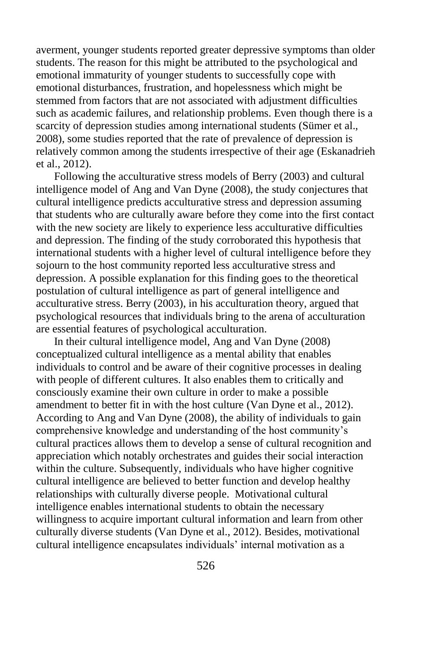averment, younger students reported greater depressive symptoms than older students. The reason for this might be attributed to the psychological and emotional immaturity of younger students to successfully cope with emotional disturbances, frustration, and hopelessness which might be stemmed from factors that are not associated with adjustment difficulties such as academic failures, and relationship problems. Even though there is a scarcity of depression studies among international students (Sümer et al., 2008), some studies reported that the rate of prevalence of depression is relatively common among the students irrespective of their age (Eskanadrieh et al., 2012).

Following the acculturative stress models of Berry (2003) and cultural intelligence model of Ang and Van Dyne (2008), the study conjectures that cultural intelligence predicts acculturative stress and depression assuming that students who are culturally aware before they come into the first contact with the new society are likely to experience less acculturative difficulties and depression. The finding of the study corroborated this hypothesis that international students with a higher level of cultural intelligence before they sojourn to the host community reported less acculturative stress and depression. A possible explanation for this finding goes to the theoretical postulation of cultural intelligence as part of general intelligence and acculturative stress. Berry (2003), in his acculturation theory, argued that psychological resources that individuals bring to the arena of acculturation are essential features of psychological acculturation.

In their cultural intelligence model, Ang and Van Dyne (2008) conceptualized cultural intelligence as a mental ability that enables individuals to control and be aware of their cognitive processes in dealing with people of different cultures. It also enables them to critically and consciously examine their own culture in order to make a possible amendment to better fit in with the host culture (Van Dyne et al., 2012). According to Ang and Van Dyne (2008), the ability of individuals to gain comprehensive knowledge and understanding of the host community's cultural practices allows them to develop a sense of cultural recognition and appreciation which notably orchestrates and guides their social interaction within the culture. Subsequently, individuals who have higher cognitive cultural intelligence are believed to better function and develop healthy relationships with culturally diverse people. Motivational cultural intelligence enables international students to obtain the necessary willingness to acquire important cultural information and learn from other culturally diverse students (Van Dyne et al., 2012). Besides, motivational cultural intelligence encapsulates individuals' internal motivation as a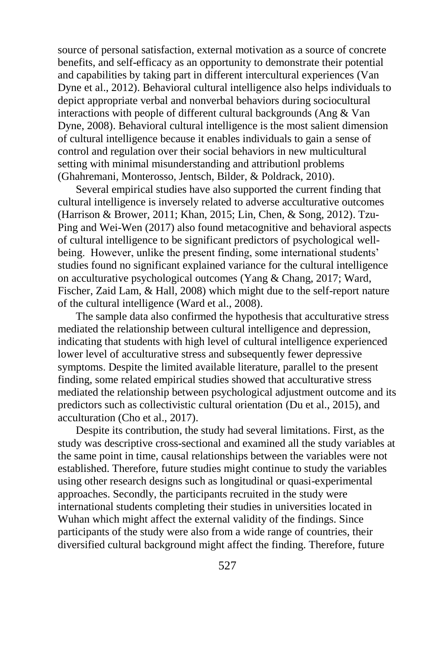source of personal satisfaction, external motivation as a source of concrete benefits, and self-efficacy as an opportunity to demonstrate their potential and capabilities by taking part in different intercultural experiences (Van Dyne et al., 2012). Behavioral cultural intelligence also helps individuals to depict appropriate verbal and nonverbal behaviors during sociocultural interactions with people of different cultural backgrounds (Ang & Van Dyne, 2008). Behavioral cultural intelligence is the most salient dimension of cultural intelligence because it enables individuals to gain a sense of control and regulation over their social behaviors in new multicultural setting with minimal misunderstanding and attributionl problems (Ghahremani, Monterosso, Jentsch, Bilder, & Poldrack, 2010).

Several empirical studies have also supported the current finding that cultural intelligence is inversely related to adverse acculturative outcomes (Harrison & Brower, 2011; Khan, 2015; Lin, Chen, & Song, 2012). Tzu-Ping and Wei-Wen (2017) also found metacognitive and behavioral aspects of cultural intelligence to be significant predictors of psychological wellbeing. However, unlike the present finding, some international students' studies found no significant explained variance for the cultural intelligence on acculturative psychological outcomes (Yang & Chang, 2017; Ward, Fischer, Zaid Lam, & Hall, 2008) which might due to the self-report nature of the cultural intelligence (Ward et al., 2008).

The sample data also confirmed the hypothesis that acculturative stress mediated the relationship between cultural intelligence and depression, indicating that students with high level of cultural intelligence experienced lower level of acculturative stress and subsequently fewer depressive symptoms. Despite the limited available literature, parallel to the present finding, some related empirical studies showed that acculturative stress mediated the relationship between psychological adjustment outcome and its predictors such as collectivistic cultural orientation (Du et al., 2015), and acculturation (Cho et al., 2017).

Despite its contribution, the study had several limitations. First, as the study was descriptive cross-sectional and examined all the study variables at the same point in time, causal relationships between the variables were not established. Therefore, future studies might continue to study the variables using other research designs such as longitudinal or quasi-experimental approaches. Secondly, the participants recruited in the study were international students completing their studies in universities located in Wuhan which might affect the external validity of the findings. Since participants of the study were also from a wide range of countries, their diversified cultural background might affect the finding. Therefore, future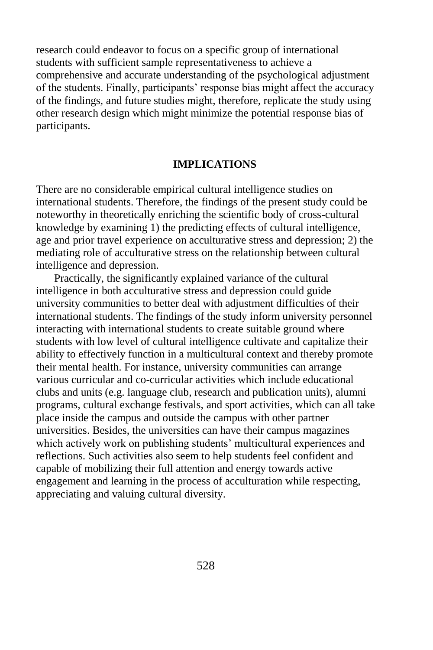research could endeavor to focus on a specific group of international students with sufficient sample representativeness to achieve a comprehensive and accurate understanding of the psychological adjustment of the students. Finally, participants' response bias might affect the accuracy of the findings, and future studies might, therefore, replicate the study using other research design which might minimize the potential response bias of participants.

## **IMPLICATIONS**

There are no considerable empirical cultural intelligence studies on international students. Therefore, the findings of the present study could be noteworthy in theoretically enriching the scientific body of cross-cultural knowledge by examining 1) the predicting effects of cultural intelligence, age and prior travel experience on acculturative stress and depression; 2) the mediating role of acculturative stress on the relationship between cultural intelligence and depression.

Practically, the significantly explained variance of the cultural intelligence in both acculturative stress and depression could guide university communities to better deal with adjustment difficulties of their international students. The findings of the study inform university personnel interacting with international students to create suitable ground where students with low level of cultural intelligence cultivate and capitalize their ability to effectively function in a multicultural context and thereby promote their mental health. For instance, university communities can arrange various curricular and co-curricular activities which include educational clubs and units (e.g. language club, research and publication units), alumni programs, cultural exchange festivals, and sport activities, which can all take place inside the campus and outside the campus with other partner universities. Besides, the universities can have their campus magazines which actively work on publishing students' multicultural experiences and reflections. Such activities also seem to help students feel confident and capable of mobilizing their full attention and energy towards active engagement and learning in the process of acculturation while respecting, appreciating and valuing cultural diversity.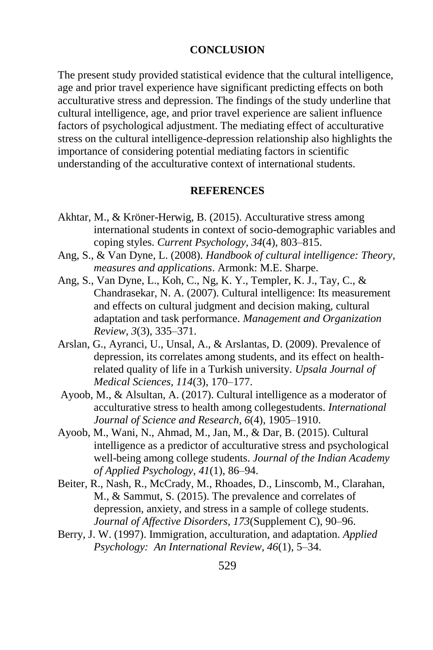#### **CONCLUSION**

The present study provided statistical evidence that the cultural intelligence, age and prior travel experience have significant predicting effects on both acculturative stress and depression. The findings of the study underline that cultural intelligence, age, and prior travel experience are salient influence factors of psychological adjustment. The mediating effect of acculturative stress on the cultural intelligence-depression relationship also highlights the importance of considering potential mediating factors in scientific understanding of the acculturative context of international students.

## **REFERENCES**

- Akhtar, M., & Kröner-Herwig, B. (2015). Acculturative stress among international students in context of socio-demographic variables and coping styles. *Current Psychology, 34*(4), 803–815.
- Ang, S., & Van Dyne, L. (2008). *Handbook of cultural intelligence: Theory, measures and applications*. Armonk: M.E. Sharpe.
- Ang, S., Van Dyne, L., Koh, C., Ng, K. Y., Templer, K. J., Tay, C., & Chandrasekar, N. A. (2007). Cultural intelligence: Its measurement and effects on cultural judgment and decision making, cultural adaptation and task performance. *Management and Organization Review, 3*(3), 335–371.
- Arslan, G., Ayranci, U., Unsal, A., & Arslantas, D. (2009). Prevalence of depression, its correlates among students, and its effect on healthrelated quality of life in a Turkish university. *Upsala Journal of Medical Sciences, 114*(3), 170–177.
- Ayoob, M., & Alsultan, A. (2017). Cultural intelligence as a moderator of acculturative stress to health among collegestudents. *International Journal of Science and Research, 6*(4), 1905–1910.
- Ayoob, M., Wani, N., Ahmad, M., Jan, M., & Dar, B. (2015). Cultural intelligence as a predictor of acculturative stress and psychological well-being among college students. *Journal of the Indian Academy of Applied Psychology, 41*(1), 86–94.
- Beiter, R., Nash, R., McCrady, M., Rhoades, D., Linscomb, M., Clarahan, M., & Sammut, S. (2015). The prevalence and correlates of depression, anxiety, and stress in a sample of college students. *Journal of Affective Disorders, 173*(Supplement C), 90–96.
- Berry, J. W. (1997). Immigration, acculturation, and adaptation. *Applied Psychology: An International Review, 46*(1), 5–34.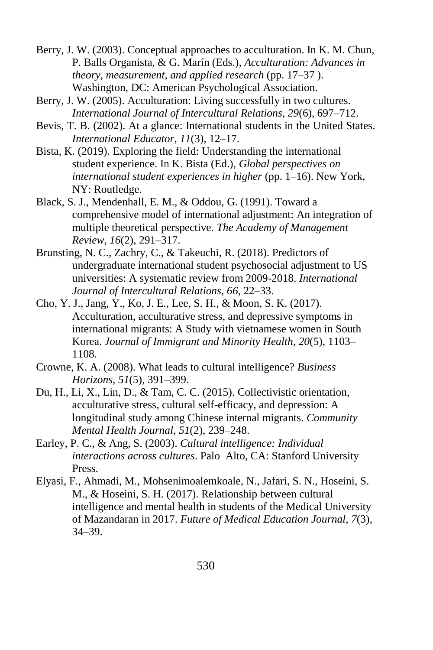- Berry, J. W. (2003). Conceptual approaches to acculturation. In K. M. Chun, P. Balls Organista, & G. Marín (Eds.), *Acculturation: Advances in theory, measurement, and applied research* (pp. 17–37 ). Washington, DC: American Psychological Association.
- Berry, J. W. (2005). Acculturation: Living successfully in two cultures. *International Journal of Intercultural Relations, 29*(6), 697–712.
- Bevis, T. B. (2002). At a glance: International students in the United States. *International Educator, 11*(3), 12–17.
- Bista, K. (2019). Exploring the field: Understanding the international student experience. In K. Bista (Ed.), *Global perspectives on international student experiences in higher* (pp. 1–16). New York, NY: Routledge.
- Black, S. J., Mendenhall, E. M., & Oddou, G. (1991). Toward a comprehensive model of international adjustment: An integration of multiple theoretical perspective. *The Academy of Management Review, 16*(2), 291–317.
- Brunsting, N. C., Zachry, C., & Takeuchi, R. (2018). Predictors of undergraduate international student psychosocial adjustment to US universities: A systematic review from 2009-2018. *International Journal of Intercultural Relations, 66*, 22–33.
- Cho, Y. J., Jang, Y., Ko, J. E., Lee, S. H., & Moon, S. K. (2017). Acculturation, acculturative stress, and depressive symptoms in international migrants: A Study with vietnamese women in South Korea. *Journal of Immigrant and Minority Health*, *20*(5), 1103– 1108.
- Crowne, K. A. (2008). What leads to cultural intelligence? *Business Horizons, 51*(5), 391–399.
- Du, H., Li, X., Lin, D., & Tam, C. C. (2015). Collectivistic orientation, acculturative stress, cultural self-efficacy, and depression: A longitudinal study among Chinese internal migrants. *Community Mental Health Journal, 51*(2), 239–248.
- Earley, P. C., & Ang, S. (2003). *Cultural intelligence: Individual interactions across cultures*. Palo Alto, CA: Stanford University Press.
- Elyasi, F., Ahmadi, M., Mohsenimoalemkoale, N., Jafari, S. N., Hoseini, S. M., & Hoseini, S. H. (2017). Relationship between cultural intelligence and mental health in students of the Medical University of Mazandaran in 2017. *Future of Medical Education Journal, 7*(3), 34–39.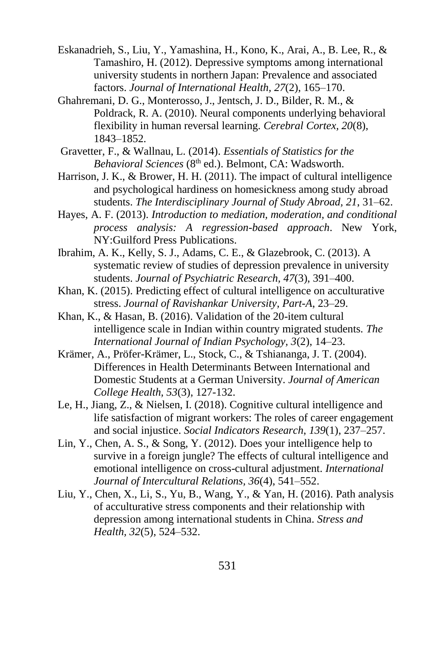- Eskanadrieh, S., Liu, Y., Yamashina, H., Kono, K., Arai, A., B. Lee, R., & Tamashiro, H. (2012). Depressive symptoms among international university students in northern Japan: Prevalence and associated factors. *Journal of International Health, 27*(2), 165–170.
- Ghahremani, D. G., Monterosso, J., Jentsch, J. D., Bilder, R. M., & Poldrack, R. A. (2010). Neural components underlying behavioral flexibility in human reversal learning. *Cerebral Cortex, 20*(8), 1843–1852.
- Gravetter, F., & Wallnau, L. (2014). *Essentials of Statistics for the Behavioral Sciences* (8<sup>th</sup> ed.). Belmont, CA: Wadsworth.
- Harrison, J. K., & Brower, H. H. (2011). The impact of cultural intelligence and psychological hardiness on homesickness among study abroad students. *The Interdisciplinary Journal of Study Abroad, 21*, 31–62.
- Hayes, A. F. (2013). *Introduction to mediation, moderation, and conditional process analysis: A regression-based approach*. New York, NY:Guilford Press Publications.
- Ibrahim, A. K., Kelly, S. J., Adams, C. E., & Glazebrook, C. (2013). A systematic review of studies of depression prevalence in university students. *Journal of Psychiatric Research, 47*(3), 391–400.
- Khan, K. (2015). Predicting effect of cultural intelligence on acculturative stress. *Journal of Ravishankar University, Part-A*, 23–29.
- Khan, K., & Hasan, B. (2016). Validation of the 20-item cultural intelligence scale in Indian within country migrated students. *The International Journal of Indian Psychology, 3*(2), 14–23.
- Krämer, A., Pröfer-Krämer, L., Stock, C., & Tshiananga, J. T. (2004). Differences in Health Determinants Between International and Domestic Students at a German University. *Journal of American College Health, 53*(3), 127-132.
- Le, H., Jiang, Z., & Nielsen, I. (2018). Cognitive cultural intelligence and life satisfaction of migrant workers: The roles of career engagement and social injustice. *Social Indicators Research*, *139*(1), 237–257.
- Lin, Y., Chen, A. S., & Song, Y. (2012). Does your intelligence help to survive in a foreign jungle? The effects of cultural intelligence and emotional intelligence on cross-cultural adjustment. *International Journal of Intercultural Relations, 36*(4), 541–552.
- Liu, Y., Chen, X., Li, S., Yu, B., Wang, Y., & Yan, H. (2016). Path analysis of acculturative stress components and their relationship with depression among international students in China. *Stress and Health, 32*(5), 524–532.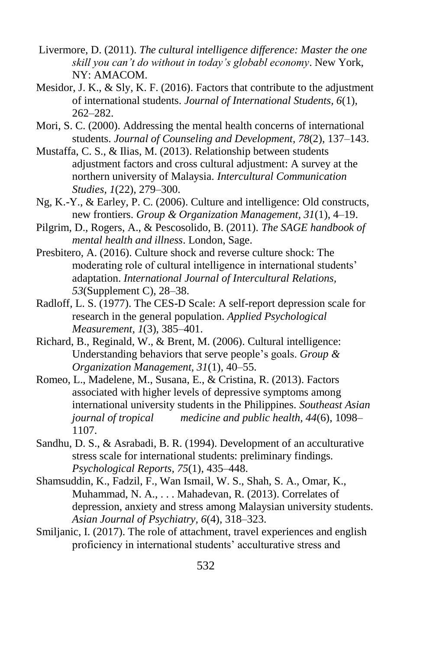- Livermore, D. (2011). *The cultural intelligence difference: Master the one skill you can't do without in today's globabl economy*. New York, NY: AMACOM.
- Mesidor, J. K., & Sly, K. F. (2016). Factors that contribute to the adjustment of international students. *Journal of International Students, 6*(1), 262–282.
- Mori, S. C. (2000). Addressing the mental health concerns of international students. *Journal of Counseling and Development, 78*(2), 137–143.
- Mustaffa, C. S., & Ilias, M. (2013). Relationship between students adjustment factors and cross cultural adjustment: A survey at the northern university of Malaysia. *Intercultural Communication Studies, 1*(22), 279–300.
- Ng, K.-Y., & Earley, P. C. (2006). Culture and intelligence: Old constructs, new frontiers. *Group & Organization Management, 31*(1), 4–19.
- Pilgrim, D., Rogers, A., & Pescosolido, B. (2011). *The SAGE handbook of mental health and illness*. London, Sage.
- Presbitero, A. (2016). Culture shock and reverse culture shock: The moderating role of cultural intelligence in international students' adaptation. *International Journal of Intercultural Relations, 53*(Supplement C), 28–38.
- Radloff, L. S. (1977). The CES-D Scale: A self-report depression scale for research in the general population. *Applied Psychological Measurement, 1*(3), 385–401.
- Richard, B., Reginald, W., & Brent, M. (2006). Cultural intelligence: Understanding behaviors that serve people's goals. *Group & Organization Management, 31*(1), 40–55.
- Romeo, L., Madelene, M., Susana, E., & Cristina, R. (2013). Factors associated with higher levels of depressive symptoms among international university students in the Philippines. *Southeast Asian journal of tropical medicine and public health, 44*(6), 1098– 1107.
- Sandhu, D. S., & Asrabadi, B. R. (1994). Development of an acculturative stress scale for international students: preliminary findings. *Psychological Reports, 75*(1), 435–448.
- Shamsuddin, K., Fadzil, F., Wan Ismail, W. S., Shah, S. A., Omar, K., Muhammad, N. A., . . . Mahadevan, R. (2013). Correlates of depression, anxiety and stress among Malaysian university students. *Asian Journal of Psychiatry, 6*(4), 318–323.
- Smiljanic, I. (2017). The role of attachment, travel experiences and english proficiency in international students' acculturative stress and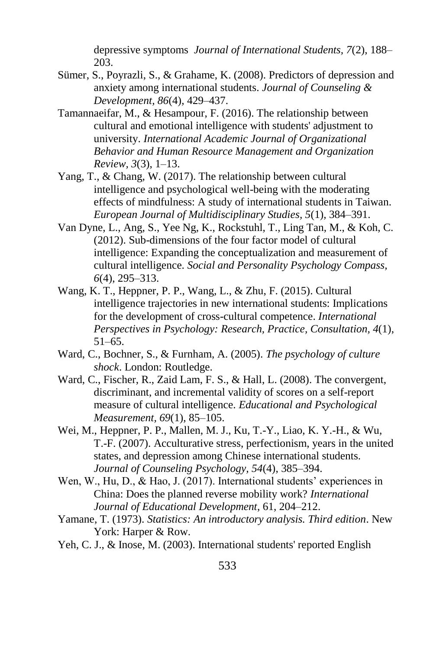depressive symptoms *Journal of International Students, 7*(2), 188– 203.

- Sümer, S., Poyrazli, S., & Grahame, K. (2008). Predictors of depression and anxiety among international students. *Journal of Counseling & Development, 86*(4), 429–437.
- Tamannaeifar, M., & Hesampour, F. (2016). The relationship between cultural and emotional intelligence with students' adjustment to university. *International Academic Journal of Organizational Behavior and Human Resource Management and Organization Review, 3*(3), 1–13.
- Yang, T., & Chang, W. (2017). The relationship between cultural intelligence and psychological well-being with the moderating effects of mindfulness: A study of international students in Taiwan. *European Journal of Multidisciplinary Studies, 5*(1), 384–391.
- Van Dyne, L., Ang, S., Yee Ng, K., Rockstuhl, T., Ling Tan, M., & Koh, C. (2012). Sub-dimensions of the four factor model of cultural intelligence: Expanding the conceptualization and measurement of cultural intelligence. *Social and Personality Psychology Compass, 6*(4), 295–313.
- Wang, K. T., Heppner, P. P., Wang, L., & Zhu, F. (2015). Cultural intelligence trajectories in new international students: Implications for the development of cross-cultural competence. *International Perspectives in Psychology: Research, Practice, Consultation, 4*(1), 51–65.
- Ward, C., Bochner, S., & Furnham, A. (2005). *The psychology of culture shock*. London: Routledge.
- Ward, C., Fischer, R., Zaid Lam, F. S., & Hall, L. (2008). The convergent, discriminant, and incremental validity of scores on a self-report measure of cultural intelligence. *Educational and Psychological Measurement, 69*(1), 85–105.
- Wei, M., Heppner, P. P., Mallen, M. J., Ku, T.-Y., Liao, K. Y.-H., & Wu, T.-F. (2007). Acculturative stress, perfectionism, years in the united states, and depression among Chinese international students. *Journal of Counseling Psychology, 54*(4), 385–394.
- Wen, W., Hu, D., & Hao, J. (2017). International students' experiences in China: Does the planned reverse mobility work? *International Journal of Educational Development*, 61, 204–212.
- Yamane, T. (1973). *Statistics: An introductory analysis. Third edition*. New York: Harper & Row.
- Yeh, C. J., & Inose, M. (2003). International students' reported English